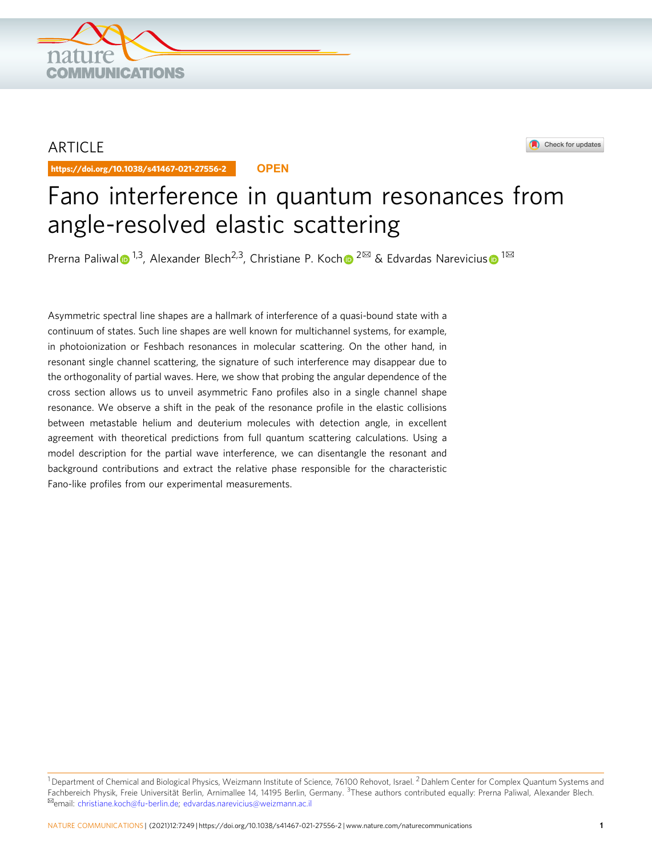## ARTICLE

https://doi.org/10.1038/s41467-021-27556-2 **OPEN**

**COMMUNICATIONS** 



# Fano interference in quantum resonances from angle-resolved elastic scattering

Prerna Pa[l](http://orcid.org/0000-0002-6652-0397)iwal  $\bullet$  <sup>1,3</sup>, Alexander Blec[h](http://orcid.org/0000-0001-6285-5766)<[s](http://orcid.org/0000-0002-3879-1931)up>2,3</sup>, Christiane P. Koch  $\bullet$  <sup>2 $\boxtimes$ </sup> & Edvardas Narevicius  $\bullet$  <sup>1 $\boxtimes$ </sup>

Asymmetric spectral line shapes are a hallmark of interference of a quasi-bound state with a continuum of states. Such line shapes are well known for multichannel systems, for example, in photoionization or Feshbach resonances in molecular scattering. On the other hand, in resonant single channel scattering, the signature of such interference may disappear due to the orthogonality of partial waves. Here, we show that probing the angular dependence of the cross section allows us to unveil asymmetric Fano profiles also in a single channel shape resonance. We observe a shift in the peak of the resonance profile in the elastic collisions between metastable helium and deuterium molecules with detection angle, in excellent agreement with theoretical predictions from full quantum scattering calculations. Using a model description for the partial wave interference, we can disentangle the resonant and background contributions and extract the relative phase responsible for the characteristic Fano-like profiles from our experimental measurements.

 $1$  Department of Chemical and Biological Physics, Weizmann Institute of Science, 76100 Rehovot, Israel.  $2$  Dahlem Center for Complex Quantum Systems and Fachbereich Physik, Freie Universität Berlin, Arnimallee 14, 14195 Berlin, Germany. <sup>3</sup>These authors contributed equally: Prerna Paliwal, Alexander Blech.<br><sup>⊠</sup>email: [christiane.koch@fu-berlin.de](mailto:christiane.koch@fu-berlin.de); edvardas.narevicius@weizma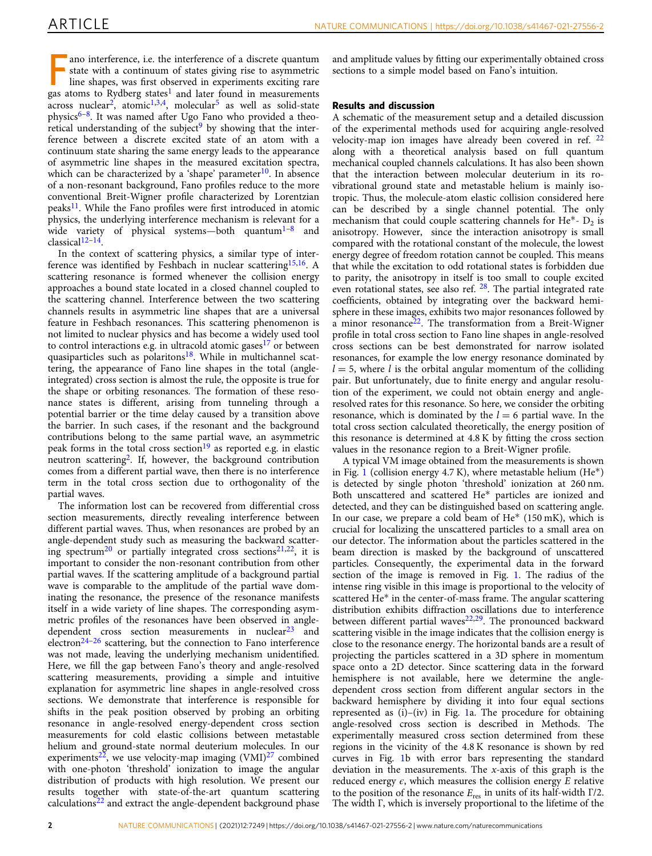ano interference, i.e. the interference of a discrete quantum state with a continuum of states giving rise to asymmetric line shapes, was first observed in experiments exciting rare gas atoms to Rydberg states<sup>[1](#page-4-0)</sup> and later ano interference, i.e. the interference of a discrete quantum state with a continuum of states giving rise to asymmetric line shapes, was first observed in experiments exciting rare  $\alpha$ cross nuclear<sup>2</sup>, atomic<sup>1,[3](#page-5-0),4</sup>, molecular<sup>[5](#page-5-0)</sup> as well as solid-state physics<sup>6–[8](#page-5-0)</sup>. It was named after Ugo Fano who provided a theoretical understanding of the subject<sup>9</sup> by showing that the interference between a discrete excited state of an atom with a continuum state sharing the same energy leads to the appearance of asymmetric line shapes in the measured excitation spectra, which can be characterized by a 'shape' parameter<sup>10</sup>. In absence of a non-resonant background, Fano profiles reduce to the more conventional Breit-Wigner profile characterized by Lorentzian peaks<sup>11</sup>. While the Fano profiles were first introduced in atomic physics, the underlying interference mechanism is relevant for a wide variety of physical systems—both quantum<sup>[1](#page-4-0)–[8](#page-5-0)</sup> and classical[12](#page-5-0)–[14](#page-5-0).

In the context of scattering physics, a similar type of inter-ference was identified by Feshbach in nuclear scattering<sup>[15,16](#page-5-0)</sup>. A scattering resonance is formed whenever the collision energy approaches a bound state located in a closed channel coupled to the scattering channel. Interference between the two scattering channels results in asymmetric line shapes that are a universal feature in Feshbach resonances. This scattering phenomenon is not limited to nuclear physics and has become a widely used tool to control interactions e.g. in ultracold atomic gases<sup>[17](#page-5-0)</sup> or between quasiparticles such as polaritons<sup>18</sup>. While in multichannel scattering, the appearance of Fano line shapes in the total (angleintegrated) cross section is almost the rule, the opposite is true for the shape or orbiting resonances. The formation of these resonance states is different, arising from tunneling through a potential barrier or the time delay caused by a transition above the barrier. In such cases, if the resonant and the background contributions belong to the same partial wave, an asymmetric peak forms in the total cross section<sup>[19](#page-5-0)</sup> as reported e.g. in elastic neutron scattering[2.](#page-4-0) If, however, the background contribution comes from a different partial wave, then there is no interference term in the total cross section due to orthogonality of the partial waves.

The information lost can be recovered from differential cross section measurements, directly revealing interference between different partial waves. Thus, when resonances are probed by an angle-dependent study such as measuring the backward scattering spectrum<sup>20</sup> or partially integrated cross sections<sup>21,22</sup>, it is important to consider the non-resonant contribution from other partial waves. If the scattering amplitude of a background partial wave is comparable to the amplitude of the partial wave dominating the resonance, the presence of the resonance manifests itself in a wide variety of line shapes. The corresponding asymmetric profiles of the resonances have been observed in angledependent cross section measurements in nuclear $^{23}$  $^{23}$  $^{23}$  and electron<sup>[24](#page-5-0)-[26](#page-5-0)</sup> scattering, but the connection to Fano interference was not made, leaving the underlying mechanism unidentified. Here, we fill the gap between Fano's theory and angle-resolved scattering measurements, providing a simple and intuitive explanation for asymmetric line shapes in angle-resolved cross sections. We demonstrate that interference is responsible for shifts in the peak position observed by probing an orbiting resonance in angle-resolved energy-dependent cross section measurements for cold elastic collisions between metastable helium and ground-state normal deuterium molecules. In our experiments<sup>[22](#page-5-0)</sup>, we use velocity-map imaging  $(VMI)^{27}$  combined with one-photon 'threshold' ionization to image the angular distribution of products with high resolution. We present our results together with state-of-the-art quantum scattering calculations $22$  and extract the angle-dependent background phase

and amplitude values by fitting our experimentally obtained cross sections to a simple model based on Fano's intuition.

### Results and discussion

A schematic of the measurement setup and a detailed discussion of the experimental methods used for acquiring angle-resolved velocity-map ion images have already been covered in ref. [22](#page-5-0) along with a theoretical analysis based on full quantum mechanical coupled channels calculations. It has also been shown that the interaction between molecular deuterium in its rovibrational ground state and metastable helium is mainly isotropic. Thus, the molecule-atom elastic collision considered here can be described by a single channel potential. The only mechanism that could couple scattering channels for He<sup>\*</sup>-  $D_2$  is anisotropy. However, since the interaction anisotropy is small compared with the rotational constant of the molecule, the lowest energy degree of freedom rotation cannot be coupled. This means that while the excitation to odd rotational states is forbidden due to parity, the anisotropy in itself is too small to couple excited even rotational states, see also ref. <sup>[28](#page-5-0)</sup>. The partial integrated rate coefficients, obtained by integrating over the backward hemisphere in these images, exhibits two major resonances followed by a minor resonance<sup>22</sup>. The transformation from a Breit-Wigner profile in total cross section to Fano line shapes in angle-resolved cross sections can be best demonstrated for narrow isolated resonances, for example the low energy resonance dominated by  $l = 5$ , where l is the orbital angular momentum of the colliding pair. But unfortunately, due to finite energy and angular resolution of the experiment, we could not obtain energy and angleresolved rates for this resonance. So here, we consider the orbiting resonance, which is dominated by the  $l = 6$  partial wave. In the total cross section calculated theoretically, the energy position of this resonance is determined at 4.8 K by fitting the cross section values in the resonance region to a Breit-Wigner profile.

A typical VM image obtained from the measurements is shown in Fig. [1](#page-2-0) (collision energy  $4.7 K$ ), where metastable helium (He<sup>\*</sup>) is detected by single photon 'threshold' ionization at 260 nm. Both unscattered and scattered He\* particles are ionized and detected, and they can be distinguished based on scattering angle. In our case, we prepare a cold beam of  $He^*$  (150 mK), which is crucial for localizing the unscattered particles to a small area on our detector. The information about the particles scattered in the beam direction is masked by the background of unscattered particles. Consequently, the experimental data in the forward section of the image is removed in Fig. [1.](#page-2-0) The radius of the intense ring visible in this image is proportional to the velocity of scattered He\* in the center-of-mass frame. The angular scattering distribution exhibits diffraction oscillations due to interference between different partial waves $22,29$  $22,29$  $22,29$ . The pronounced backward scattering visible in the image indicates that the collision energy is close to the resonance energy. The horizontal bands are a result of projecting the particles scattered in a 3D sphere in momentum space onto a 2D detector. Since scattering data in the forward hemisphere is not available, here we determine the angledependent cross section from different angular sectors in the backward hemisphere by dividing it into four equal sections represented as (i)–(iv) in Fig. [1a](#page-2-0). The procedure for obtaining angle-resolved cross section is described in Methods. The experimentally measured cross section determined from these regions in the vicinity of the 4.8 K resonance is shown by red curves in Fig. [1](#page-2-0)b with error bars representing the standard deviation in the measurements. The  $x$ -axis of this graph is the reduced energy  $\epsilon$ , which measures the collision energy E relative to the position of the resonance  $E_{res}$  in units of its half-width  $\Gamma/2$ . The width Γ, which is inversely proportional to the lifetime of the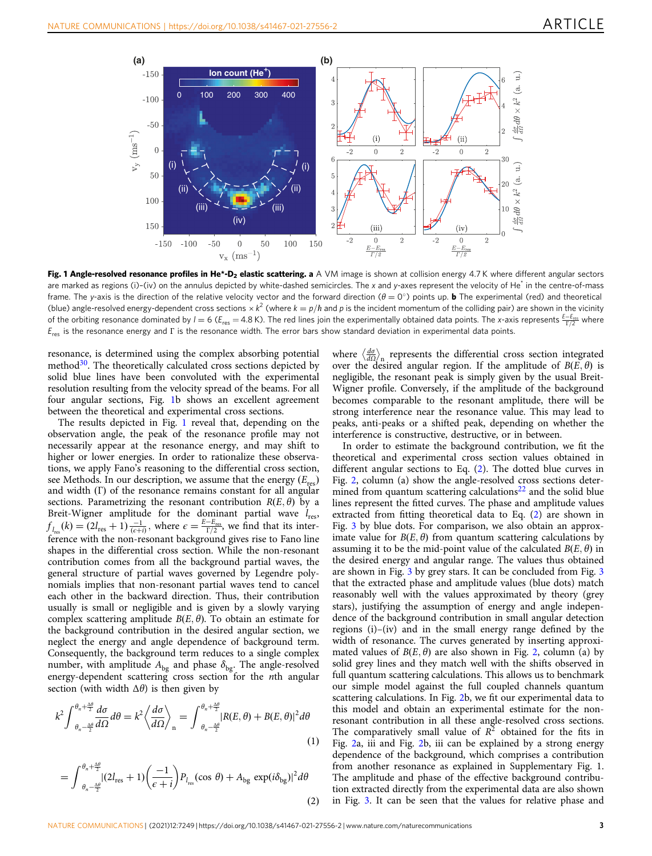<span id="page-2-0"></span>

Fig. 1 Angle-resolved resonance profiles in He\*-D<sub>2</sub> elastic scattering. a A VM image is shown at collision energy 4.7 K where different angular sectors are marked as regions (i)-(iv) on the annulus depicted by white-dashed semicircles. The x and y-axes represent the velocity of He<sup>\*</sup> in the centre-of-mass frame. The y-axis is the direction of the relative velocity vector and the forward direction ( $\theta = 0^{\circ}$ ) points up. **b** The experimental (red) and theoretical (blue) angle-resolved energy-dependent cross sections  $\times k^2$  (where  $k = p/h$  and p is the incident momentum of the colliding pair) are shown in the vicinity of the orbiting resonance dominated by  $l = 6$  ( $E_{res} = 4.8$  K). The red lines join the experimentally obtained data points. The x-axis represents  $\frac{E-E_{res}}{\Gamma/2}$  where  $E_{res}$  is the resonance energy and Γ is the resonance width. The error bars show standard deviation in experimental data points.

resonance, is determined using the complex absorbing potential method $30$ . The theoretically calculated cross sections depicted by solid blue lines have been convoluted with the experimental resolution resulting from the velocity spread of the beams. For all four angular sections, Fig. 1b shows an excellent agreement between the theoretical and experimental cross sections.

The results depicted in Fig. 1 reveal that, depending on the observation angle, the peak of the resonance profile may not necessarily appear at the resonance energy, and may shift to higher or lower energies. In order to rationalize these observations, we apply Fano's reasoning to the differential cross section, see Methods. In our description, we assume that the energy  $(E_{res})$ and width  $(Γ)$  of the resonance remains constant for all angular sections. Parametrizing the resonant contribution  $R(E, \theta)$  by a Breit-Wigner amplitude for the dominant partial wave  $l_{res}$ ,  $f_{l_{\text{res}}}(k) = (2l_{\text{res}} + 1)\frac{-1}{(\epsilon + i)}, \text{ where } \epsilon = \frac{E - E_{\text{res}}}{\Gamma/2}, \text{ we find that its inter-}$ ference with the non-resonant background gives rise to Fano line shapes in the differential cross section. While the non-resonant contribution comes from all the background partial waves, the general structure of partial waves governed by Legendre polynomials implies that non-resonant partial waves tend to cancel each other in the backward direction. Thus, their contribution usually is small or negligible and is given by a slowly varying complex scattering amplitude  $B(E, \theta)$ . To obtain an estimate for the background contribution in the desired angular section, we neglect the energy and angle dependence of background term. Consequently, the background term reduces to a single complex number, with amplitude  $A_{bg}$  and phase  $\delta_{bg}$ . The angle-resolved energy-dependent scattering cross section for the *n*th angular section (with width  $\Delta\theta$ ) is then given by

$$
k^{2} \int_{\theta_{n} - \frac{\Delta \theta}{2}}^{\theta_{n} + \frac{\Delta \theta}{2}} \frac{d\sigma}{d\Omega} d\theta = k^{2} \left\langle \frac{d\sigma}{d\Omega} \right\rangle_{n} = \int_{\theta_{n} - \frac{\Delta \theta}{2}}^{\theta_{n} + \frac{\Delta \theta}{2}} |R(E, \theta) + B(E, \theta)|^{2} d\theta
$$
\n(1)

$$
= \int_{\theta_n - \frac{\Delta\theta}{2}}^{\theta_n + \frac{\Delta\theta}{2}} |(2l_{\text{res}} + 1) \left(\frac{-1}{\epsilon + i}\right) P_{l_{\text{res}}}(\cos \theta) + A_{\text{bg}} \exp(i\delta_{\text{bg}})|^2 d\theta \tag{2}
$$

where  $\left\langle \frac{d\sigma}{d\Omega} \right\rangle$  represents the differential cross section integrated over the desired angular region. If the amplitude of  $B(E, \theta)$  is negligible, the resonant peak is simply given by the usual Breit-Wigner profile. Conversely, if the amplitude of the background becomes comparable to the resonant amplitude, there will be strong interference near the resonance value. This may lead to peaks, anti-peaks or a shifted peak, depending on whether the interference is constructive, destructive, or in between.

In order to estimate the background contribution, we fit the theoretical and experimental cross section values obtained in different angular sections to Eq. (2). The dotted blue curves in Fig. [2](#page-3-0), column (a) show the angle-resolved cross sections determined from quantum scattering calculations $22$  and the solid blue lines represent the fitted curves. The phase and amplitude values extracted from fitting theoretical data to Eq. (2) are shown in Fig. [3](#page-4-0) by blue dots. For comparison, we also obtain an approximate value for  $B(E, \theta)$  from quantum scattering calculations by assuming it to be the mid-point value of the calculated  $B(E, \theta)$  in the desired energy and angular range. The values thus obtained are shown in Fig. [3](#page-4-0) by grey stars. It can be concluded from Fig. [3](#page-4-0) that the extracted phase and amplitude values (blue dots) match reasonably well with the values approximated by theory (grey stars), justifying the assumption of energy and angle independence of the background contribution in small angular detection regions (i)–(iv) and in the small energy range defined by the width of resonance. The curves generated by inserting approximated values of  $B(E, \theta)$  are also shown in Fig. [2,](#page-3-0) column (a) by solid grey lines and they match well with the shifts observed in full quantum scattering calculations. This allows us to benchmark our simple model against the full coupled channels quantum scattering calculations. In Fig. [2](#page-3-0)b, we fit our experimental data to this model and obtain an experimental estimate for the nonresonant contribution in all these angle-resolved cross sections. The comparatively small value of  $R^2$  obtained for the fits in Fig. [2a](#page-3-0), iii and Fig. [2b](#page-3-0), iii can be explained by a strong energy dependence of the background, which comprises a contribution from another resonance as explained in Supplementary Fig. 1. The amplitude and phase of the effective background contribution extracted directly from the experimental data are also shown in Fig. [3](#page-4-0). It can be seen that the values for relative phase and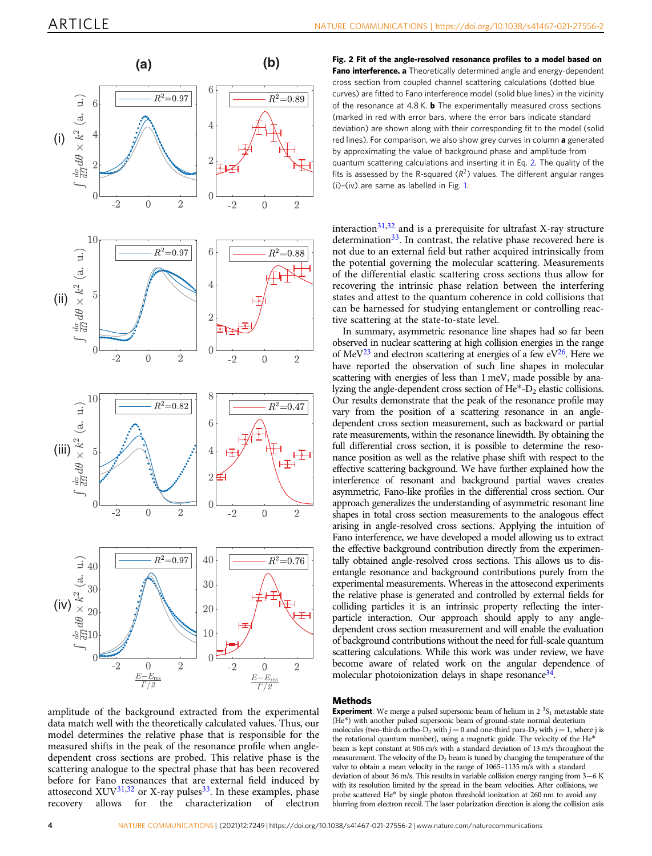<span id="page-3-0"></span>

amplitude of the background extracted from the experimental data match well with the theoretically calculated values. Thus, our model determines the relative phase that is responsible for the measured shifts in the peak of the resonance profile when angledependent cross sections are probed. This relative phase is the scattering analogue to the spectral phase that has been recovered before for Fano resonances that are external field induced by attosecond XUV<sup>[31](#page-5-0),[32](#page-5-0)</sup> or X-ray pulses<sup>33</sup>. In these examples, phase recovery allows for the characterization of electron

Fig. 2 Fit of the angle-resolved resonance profiles to a model based on Fano interference. a Theoretically determined angle and energy-dependent cross section from coupled channel scattering calculations (dotted blue curves) are fitted to Fano interference model (solid blue lines) in the vicinity of the resonance at  $4.8$  K, **b** The experimentally measured cross sections (marked in red with error bars, where the error bars indicate standard deviation) are shown along with their corresponding fit to the model (solid red lines). For comparison, we also show grey curves in column a generated by approximating the value of background phase and amplitude from quantum scattering calculations and inserting it in Eq. [2.](#page-2-0) The quality of the fits is assessed by the R-squared  $(R^2)$  values. The different angular ranges (i)–(iv) are same as labelled in Fig. [1](#page-2-0).

interaction $31,32$  and is a prerequisite for ultrafast X-ray structure determination<sup>33</sup>. In contrast, the relative phase recovered here is not due to an external field but rather acquired intrinsically from the potential governing the molecular scattering. Measurements of the differential elastic scattering cross sections thus allow for recovering the intrinsic phase relation between the interfering states and attest to the quantum coherence in cold collisions that can be harnessed for studying entanglement or controlling reactive scattering at the state-to-state level.

In summary, asymmetric resonance line shapes had so far been observed in nuclear scattering at high collision energies in the range of MeV<sup>[23](#page-5-0)</sup> and electron scattering at energies of a few eV<sup>26</sup>. Here we have reported the observation of such line shapes in molecular scattering with energies of less than 1 meV, made possible by analyzing the angle-dependent cross section of He\*-D<sub>2</sub> elastic collisions. Our results demonstrate that the peak of the resonance profile may vary from the position of a scattering resonance in an angledependent cross section measurement, such as backward or partial rate measurements, within the resonance linewidth. By obtaining the full differential cross section, it is possible to determine the resonance position as well as the relative phase shift with respect to the effective scattering background. We have further explained how the interference of resonant and background partial waves creates asymmetric, Fano-like profiles in the differential cross section. Our approach generalizes the understanding of asymmetric resonant line shapes in total cross section measurements to the analogous effect arising in angle-resolved cross sections. Applying the intuition of Fano interference, we have developed a model allowing us to extract the effective background contribution directly from the experimentally obtained angle-resolved cross sections. This allows us to disentangle resonance and background contributions purely from the experimental measurements. Whereas in the attosecond experiments the relative phase is generated and controlled by external fields for colliding particles it is an intrinsic property reflecting the interparticle interaction. Our approach should apply to any angledependent cross section measurement and will enable the evaluation of background contributions without the need for full-scale quantum scattering calculations. While this work was under review, we have become aware of related work on the angular dependence of molecular photoionization delays in shape resonance<sup>34</sup>.

### Methods

**Experiment**. We merge a pulsed supersonic beam of helium in  $2 \frac{3S_1}{S_1}$  metastable state (He\*) with another pulsed supersonic beam of ground-state normal deuterium molecules (two-thirds ortho- $D_2$  with  $j = 0$  and one-third para- $D_2$  with  $j = 1$ , where j is the rotational quantum number), using a magnetic guide. The velocity of the He\* beam is kept constant at 906 m/s with a standard deviation of 13 m/s throughout the measurement. The velocity of the  $D_2$  beam is tuned by changing the temperature of the valve to obtain a mean velocity in the range of 1065–1135 m/s with a standard deviation of about 36 m/s. This results in variable collision energy ranging from 3-6 K with its resolution limited by the spread in the beam velocities. After collisions, we probe scattered He\* by single photon threshold ionization at 260 nm to avoid any blurring from electron recoil. The laser polarization direction is along the collision axis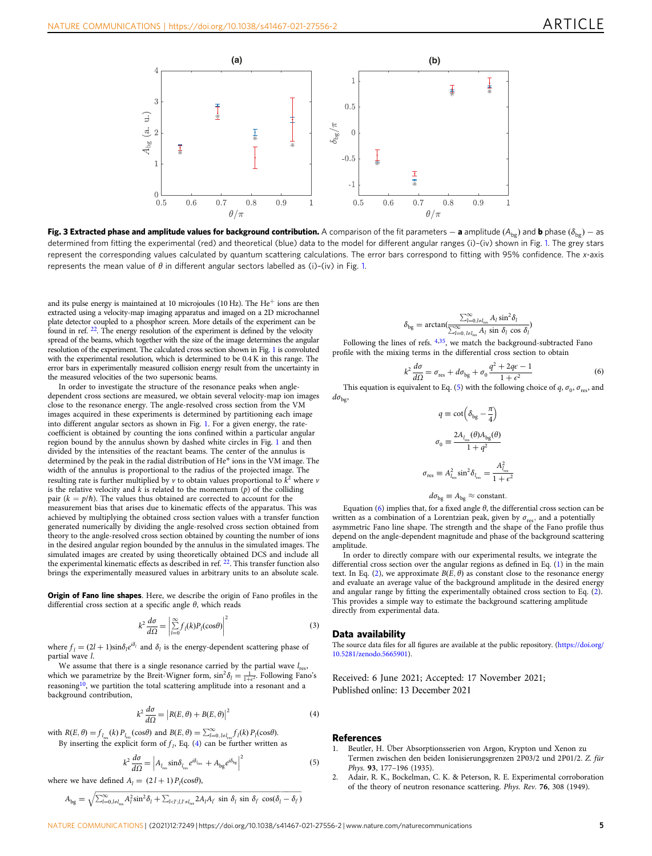<span id="page-4-0"></span>

**Fig. 3 Extracted phase and amplitude values for background contribution.** A comparison of the fit parameters — **a** amplitude (A<sub>bg</sub>) and **b** phase ( $\delta_{\rm{bg}}$ ) — as determined from fitting the experimental (red) and theoretical (blue) data to the model for different angular ranges (i)-(iv) shown in Fig. [1](#page-2-0). The grey stars represent the corresponding values calculated by quantum scattering calculations. The error bars correspond to fitting with 95% confidence. The x-axis represents the mean value of  $\theta$  in different angular sectors labelled as (i)–(iv) in Fig. [1](#page-2-0).

and its pulse energy is maintained at 10 microjoules (10 Hz). The He<sup>+</sup> ions are then extracted using a velocity-map imaging apparatus and imaged on a 2D microchannel plate detector coupled to a phosphor screen. More details of the experiment can be found in ref. [22](#page-5-0). The energy resolution of the experiment is defined by the velocity spread of the beams, which together with the size of the image determines the angular resolution of the experiment. The calculated cross section shown in Fig. [1](#page-2-0) is convoluted with the experimental resolution, which is determined to be 0.4 K in this range. The error bars in experimentally measured collision energy result from the uncertainty in the measured velocities of the two supersonic beams.

In order to investigate the structure of the resonance peaks when angledependent cross sections are measured, we obtain several velocity-map ion images close to the resonance energy. The angle-resolved cross section from the VM images acquired in these experiments is determined by partitioning each image into different angular sectors as shown in Fig. [1.](#page-2-0) For a given energy, the ratecoefficient is obtained by counting the ions confined within a particular angular region bound by the annulus shown by dashed white circles in Fig. [1](#page-2-0) and then divided by the intensities of the reactant beams. The center of the annulus is determined by the peak in the radial distribution of He\* ions in the VM image. The width of the annulus is proportional to the radius of the projected image. The resulting rate is further multiplied by  $\nu$  to obtain values proportional to  $k^2$  where  $\nu$ is the relative velocity and  $k$  is related to the momentum  $(p)$  of the colliding pair ( $k = p/\hbar$ ). The values thus obtained are corrected to account for the measurement bias that arises due to kinematic effects of the apparatus. This was achieved by multiplying the obtained cross section values with a transfer function generated numerically by dividing the angle-resolved cross section obtained from theory to the angle-resolved cross section obtained by counting the number of ions in the desired angular region bounded by the annulus in the simulated images. The simulated images are created by using theoretically obtained DCS and include all the experimental kinematic effects as described in ref. [22.](#page-5-0) This transfer function also brings the experimentally measured values in arbitrary units to an absolute scale.

Origin of Fano line shapes. Here, we describe the origin of Fano profiles in the differential cross section at a specific angle  $\theta$ , which reads

$$
k^2 \frac{d\sigma}{d\Omega} = \left| \sum_{l=0}^{\infty} f_l(k) P_l(\cos \theta) \right|^2 \tag{3}
$$

where  $f_l = (2l + 1)\sin\delta_l e^{i\delta_l}$  and  $\delta_l$  is the energy-dependent scattering phase of partial wave l.

We assume that there is a single resonance carried by the partial wave  $l_{res}$ , which we parametrize by the Breit-Wigner form,  $\sin^2 \delta_l = \frac{1}{1 + e^2}$ . Following Fano's reasoning<sup>[10](#page-5-0)</sup>, we partition the total scattering amplitude into a resonant and a background contribution,

$$
k^2 \frac{d\sigma}{d\Omega} = |R(E, \theta) + B(E, \theta)|^2
$$
 (4)

with  $R(E, \theta) = f_{l_{res}}(k) P_{l_{res}}(\cos \theta)$  and  $B(E, \theta) = \sum_{l=0, l \neq l_{res}}^{\infty} f_l(k) P_l(\cos \theta)$ . By inserting the explicit form of  $f_l$ , Eq. (4) can be further written as

$$
k^2 \frac{d\sigma}{d\Omega} = \left| A_{l_{\rm res}} \sin \delta_{l_{\rm res}} e^{i\delta_{l_{\rm res}}} + A_{\rm bg} e^{i\delta_{\rm bg}} \right|^2 \tag{5}
$$

where we have defined  $A_l = (2 l + 1) P_l(\cos \theta)$ ,

$$
A_{\text{bg}} = \sqrt{\sum_{l=0,l \neq l_{\text{res}}}^{\infty} A_l^2 \sin^2 \delta_l + \sum_{l
$$

$$
\delta_{\text{bg}} = \arctan\left(\frac{\sum_{l=0, l \neq l_{\text{res}}}^{\infty} A_l \sin^2 \delta_l}{\sum_{l=0, l \neq l_{\text{res}}}^{\infty} A_l \sin \delta_l \cos \delta_l}\right)
$$

Following the lines of refs.  $4,35$ , we match the background-subtracted Fano profile with the mixing terms in the differential cross section to obtain

$$
k^2 \frac{d\sigma}{d\Omega} = \sigma_{\text{res}} + d\sigma_{\text{bg}} + \sigma_0 \frac{q^2 + 2qe - 1}{1 + \epsilon^2} \tag{6}
$$

 $k^2 \frac{dS}{d\Omega} = \sigma_{\text{res}} + d\sigma_{\text{bg}} + \sigma_0 \frac{q^2 + 2q^2}{1 + \epsilon^2}$  (6)<br>This equation is equivalent to Eq. (5) with the following choice of q,  $\sigma_0$ ,  $\sigma_{\text{res}}$ , and  $d\sigma_{\rm bg}$ 

$$
\begin{aligned} q &\equiv \cot\left(\delta_\text{bg} - \frac{\pi}{4}\right) \\ \sigma_0 &\equiv \frac{2 A_{l_\text{res}}(\theta) A_\text{bg}(\theta)}{1+q^2} \\ \sigma_\text{res} &\equiv A_{l_\text{res}}^2 \sin^2\delta_{l_\text{res}} = \frac{A_{l_\text{res}}^2}{1+\epsilon^2} \end{aligned}
$$

 $d\sigma_{\text{bg}} \equiv A_{\text{bg}} \approx \text{constant}.$ 

Equation (6) implies that, for a fixed angle  $θ$ , the differential cross section can be written as a combination of a Lorentzian peak, given by  $\sigma_{\text{res}}$ , and a potentially asymmetric Fano line shape. The strength and the shape of the Fano profile thus depend on the angle-dependent magnitude and phase of the background scattering amplitude.

In order to directly compare with our experimental results, we integrate the differential cross section over the angular regions as defined in Eq. [\(1](#page-2-0)) in the main text. In Eq. [\(2\)](#page-2-0), we approximate  $B(E, \theta)$  as constant close to the resonance energy and evaluate an average value of the background amplitude in the desired energy and angular range by fitting the experimentally obtained cross section to Eq. ([2](#page-2-0)). This provides a simple way to estimate the background scattering amplitude directly from experimental data.

### Data availability

The source data files for all figures are available at the public repository. ([https://doi.org/](https://doi.org/10.5281/zenodo.5665901) [10.5281/zenodo.5665901\)](https://doi.org/10.5281/zenodo.5665901).

Received: 6 June 2021; Accepted: 17 November 2021; Published online: 13 December 2021

### References

- 1. Beutler, H. Über Absorptionsserien von Argon, Krypton und Xenon zu Termen zwischen den beiden Ionisierungsgrenzen 2P03/2 und 2P01/2. Z. für Phys. 93, 177–196 (1935).
- 2. Adair, R. K., Bockelman, C. K. & Peterson, R. E. Experimental corroboration of the theory of neutron resonance scattering. Phys. Rev. 76, 308 (1949).